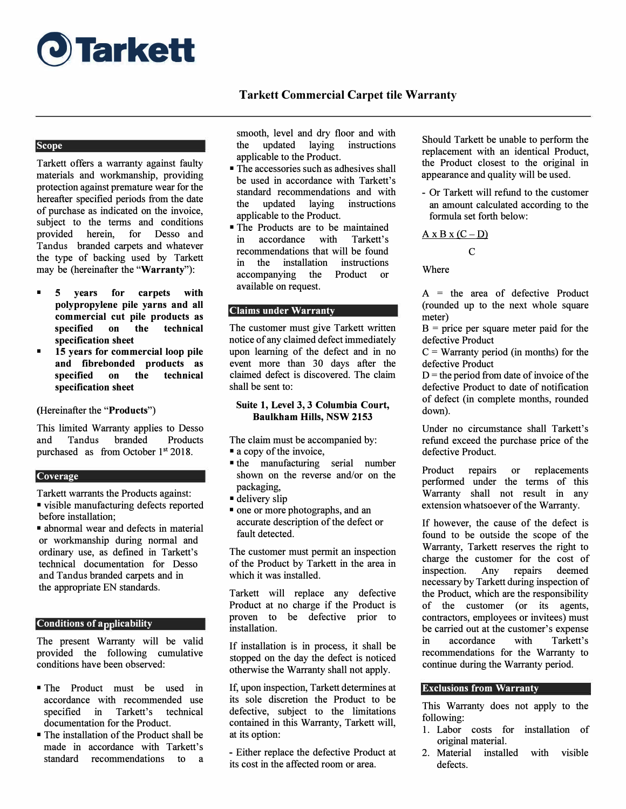

# **Tarkett Commercial Carpet tile Warranty**

## **Scope** *Scope Scope n*

Tarkett offers a warranty against faulty materials and workmanship, providing protection against premature wear for the hereafter specified periods from the date of purchase as indicated on the invoice, subject to the terms and conditions provided herein, for Desso and Tandus branded carpets and whatever the type of backing used by Tarkett may be (hereinafter the **"Warranty"):** 

- **5 years for carpets with polypropylene pile yarns and all commercial cut pile products as specified on the technical specification sheet**
- **15 years for commercial loop pile and fibrebonded products as specified on the technical specification sheet**

(Hereinafter the **"Products")** 

This limited Warranty applies to Desso and Tandus branded Products purchased as from October  $1<sup>st</sup> 2018$ .

#### **Coverage**

Tarkett warrants the Products against:

- visible manufacturing defects reported before installation;
- abnormal wear and defects in material or workmanship during normal and ordinary use, as defined in Tarkett's technical documentation for Desso and Tandus branded carpets and in the appropriate EN standards.

## **Conditions of applicability**

The present Warranty will be valid provided the following cumulative conditions have been observed:

- The Product must be used in accordance with recommended use specified in Tarkett's technical documentation for the Product.
- The installation of the Product shall be made in accordance with Tarkett's standard recommendations to a

smooth, level and dry floor and with the updated laying instructions applicable to the Product.

- The accessories such as adhesives shall be used in accordance with Tarkett's standard recommendations and with the updated laying instructions applicable to the Product.
- The Products are to be maintained in accordance with Tarkett's recommendations that will be found in the installation instructions accompanying the Product or available on request.

## **Claims under Warranty**

The customer must give Tarkett written notice of any claimed defect immediately upon learning of the defect and in no event more than 30 days after the claimed defect is discovered. The claim shall be sent to:

#### **Suite 1, Level 3, 3 Columbia Court, Baulkham Hills, NSW 2153**

The claim must be accompanied by:

- a copy of the invoice,
- the manufacturing serial number shown on the reverse and/or on the packaging,
- delivery slip
- one or more photographs, and an accurate description of the defect or fault detected.

The customer must permit an inspection of the Product by Tarkett in the area in which it was installed.

Tarkett will replace any defective Product at no charge if the Product is proven to be defective prior to installation.

If installation is in process, it shall be stopped on the day the defect is noticed otherwise the Warranty shall not apply.

If, upon inspection, Tarkett determines at its sole discretion the Product to be defective, subject to the limitations contained in this Warranty, Tarkett will, at its option:

- Either replace the defective Product at its cost in the affected room or area.

Should Tarkett be unable to perform the replacement with an identical Product, the Product closest to the original in appearance and quality will be used.

- Or Tarkett will refund to the customer an amount calculated according to the formula set forth below:

$$
\underline{A \times B \times (C - D)}
$$

C

Where

 $A =$  the area of defective Product (rounded up to the next whole square meter)

 $B =$  price per square meter paid for the defective Product

 $C =$  Warranty period (in months) for the defective Product

 $D$  = the period from date of invoice of the defective Product to date of notification of defect (in complete months, rounded down).

Under no circumstance shall Tarkett's refund exceed the purchase price of the defective Product.

Product repairs or replacements performed under the terms of this Warranty shall not result in any extension whatsoever of the Warranty.

If however, the cause of the defect is found to be outside the scope of the Warranty, Tarkett reserves the right to charge the customer for the cost of inspection. Any repairs deemed necessary by Tarkett during inspection of the Product, which are the responsibility of the customer (or its agents, contractors, employees or invitees) must be carried out at the customer's expense in accordance with Tarkett's recommendations for the Warranty to continue during the Warranty period.

## **Exclusions from Warranty**

This Warranty does not apply to the following:

- 1. Labor costs for installation of original material.
- 2. Material installed with visible defects.